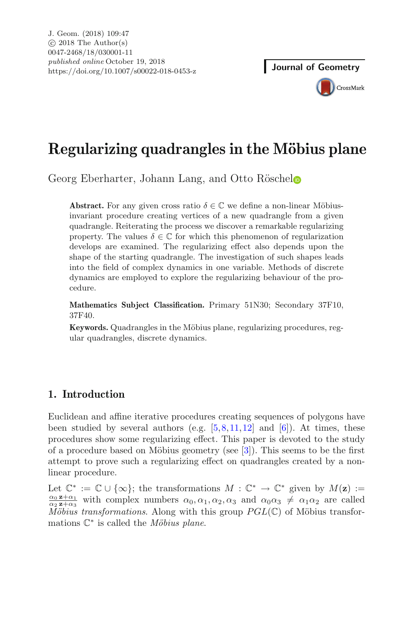# **Regularizing quadrangles in the Möbius plane**

Georg Eberharter, Johann Lang, and Otto Rösche[l](http://orcid.org/0000-0002-5113-2500)

**Abstract.** For any given cross ratio  $\delta \in \mathbb{C}$  we define a non-linear Möbiusinvariant procedure creating vertices of a new quadrangle from a given quadrangle. Reiterating the process we discover a remarkable regularizing property. The values  $\delta \in \mathbb{C}$  for which this phenomenon of regularization develops are examined. The regularizing effect also depends upon the shape of the starting quadrangle. The investigation of such shapes leads into the field of complex dynamics in one variable. Methods of discrete dynamics are employed to explore the regularizing behaviour of the procedure.

**Mathematics Subject Classification.** Primary 51N30; Secondary 37F10, 37F40.

**Keywords.** Quadrangles in the Möbius plane, regularizing procedures, regular quadrangles, discrete dynamics.

# **1. Introduction**

Euclidean and affine iterative procedures creating sequences of polygons have been studied by several authors (e.g.  $[5,8,11,12]$  $[5,8,11,12]$  $[5,8,11,12]$  $[5,8,11,12]$  $[5,8,11,12]$  $[5,8,11,12]$  and  $[6]$ ). At times, these procedures show some regularizing effect. This paper is devoted to the study of a procedure based on Möbius geometry (see  $[3]$ ). This seems to be the first attempt to prove such a regularizing effect on quadrangles created by a nonlinear procedure.

Let  $\mathbb{C}^* := \mathbb{C} \cup \{\infty\}$ ; the transformations  $M : \mathbb{C}^* \to \mathbb{C}^*$  given by  $M(\mathbf{z}) :=$  $\frac{\alpha_0 \mathbf{z}+\alpha_1}{\alpha_1-\alpha_2}$  with complex numbers  $\alpha_0, \alpha_1, \alpha_2, \alpha_3$  and  $\alpha_0 \alpha_3 \neq \alpha_1 \alpha_2$  are called  $M\ddot{o}bius\ transformation$ . Along with this group  $PGL(\mathbb{C})$  of Möbius transformations  $\mathbb{C}^*$  is called the *Möbius plane*.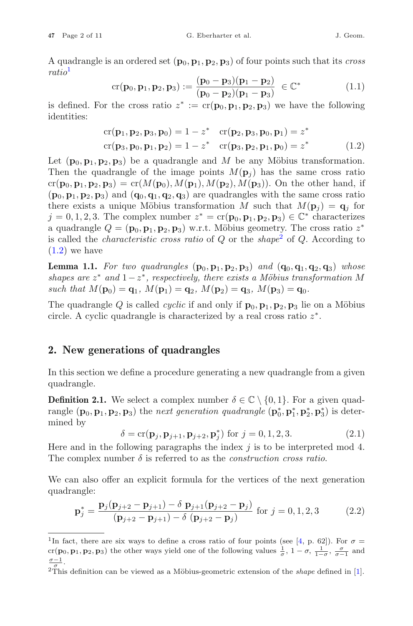A quadrangle is an ordered set  $(\mathbf{p}_0, \mathbf{p}_1, \mathbf{p}_2, \mathbf{p}_3)$  of four points such that its *cross ratio*[1](#page-1-0)

$$
cr(\mathbf{p}_0, \mathbf{p}_1, \mathbf{p}_2, \mathbf{p}_3) := \frac{(\mathbf{p}_0 - \mathbf{p}_3)(\mathbf{p}_1 - \mathbf{p}_2)}{(\mathbf{p}_0 - \mathbf{p}_2)(\mathbf{p}_1 - \mathbf{p}_3)} \in \mathbb{C}^*
$$
(1.1)

is defined. For the cross ratio  $z^* := cr(\mathbf{p}_0, \mathbf{p}_1, \mathbf{p}_2, \mathbf{p}_3)$  we have the following identities:

<span id="page-1-2"></span>
$$
cr(\mathbf{p}_1, \mathbf{p}_2, \mathbf{p}_3, \mathbf{p}_0) = 1 - z^* \quad cr(\mathbf{p}_2, \mathbf{p}_3, \mathbf{p}_0, \mathbf{p}_1) = z^* cr(\mathbf{p}_3, \mathbf{p}_0, \mathbf{p}_1, \mathbf{p}_2) = 1 - z^* \quad cr(\mathbf{p}_3, \mathbf{p}_2, \mathbf{p}_1, \mathbf{p}_0) = z^*
$$
(1.2)

Let  $(\mathbf{p}_0, \mathbf{p}_1, \mathbf{p}_2, \mathbf{p}_3)$  be a quadrangle and M be any Möbius transformation. Then the quadrangle of the image points  $M(\mathbf{p}_i)$  has the same cross ratio  $cr(\mathbf{p}_0, \mathbf{p}_1, \mathbf{p}_2, \mathbf{p}_3) = cr(M(\mathbf{p}_0), M(\mathbf{p}_1), M(\mathbf{p}_2), M(\mathbf{p}_3))$ . On the other hand, if  $(\mathbf{p}_0, \mathbf{p}_1, \mathbf{p}_2, \mathbf{p}_3)$  and  $(\mathbf{q}_0, \mathbf{q}_1, \mathbf{q}_2, \mathbf{q}_3)$  are quadrangles with the same cross ratio there exists a unique Möbius transformation M such that  $M(\mathbf{p}_i) = \mathbf{q}_i$  for  $j = 0, 1, 2, 3$ . The complex number  $z^* = cr(\mathbf{p}_0, \mathbf{p}_1, \mathbf{p}_2, \mathbf{p}_3) \in \mathbb{C}^*$  characterizes a quadrangle  $Q = (\mathbf{p}_0, \mathbf{p}_1, \mathbf{p}_2, \mathbf{p}_3)$  w.r.t. Möbius geometry. The cross ratio  $z^*$ is called the *characteristic cross ratio* of Q or the *shape*[2](#page-1-1) of Q. According to  $(1.2)$  we have

**Lemma 1.1.** For two quadrangles  $(p_0, p_1, p_2, p_3)$  and  $(q_0, q_1, q_2, q_3)$  whose *shapes are*  $z^*$  *and*  $1-z^*$ *, respectively, there exists a Möbius transformation* M  $such that M(\mathbf{p}_0) = \mathbf{q}_1, M(\mathbf{p}_1) = \mathbf{q}_2, M(\mathbf{p}_2) = \mathbf{q}_3, M(\mathbf{p}_3) = \mathbf{q}_0.$ 

The quadrangle Q is called *cyclic* if and only if  $\mathbf{p}_0$ ,  $\mathbf{p}_1$ ,  $\mathbf{p}_2$ ,  $\mathbf{p}_3$  lie on a Möbius circle. A cyclic quadrangle is characterized by a real cross ratio  $z^*$ .

#### **2. New generations of quadrangles**

In this section we define a procedure generating a new quadrangle from a given quadrangle.

<span id="page-1-3"></span>**Definition 2.1.** We select a complex number  $\delta \in \mathbb{C} \setminus \{0, 1\}$ . For a given quadrangle  $(\mathbf{p}_0, \mathbf{p}_1, \mathbf{p}_2, \mathbf{p}_3)$  the *next generation quadrangle*  $(\mathbf{p}_0^*, \mathbf{p}_1^*, \mathbf{p}_2^*, \mathbf{p}_3^*)$  is determined by

<span id="page-1-5"></span>
$$
\delta = cr(\mathbf{p}_j, \mathbf{p}_{j+1}, \mathbf{p}_{j+2}, \mathbf{p}_j^*)
$$
 for  $j = 0, 1, 2, 3.$  (2.1)

Here and in the following paragraphs the index  $j$  is to be interpreted mod 4. The complex number  $\delta$  is referred to as the *construction cross ratio*.

We can also offer an explicit formula for the vertices of the next generation quadrangle:

<span id="page-1-4"></span>
$$
\mathbf{p}_{j}^{*} = \frac{\mathbf{p}_{j}(\mathbf{p}_{j+2} - \mathbf{p}_{j+1}) - \delta \mathbf{p}_{j+1}(\mathbf{p}_{j+2} - \mathbf{p}_{j})}{(\mathbf{p}_{j+2} - \mathbf{p}_{j+1}) - \delta (\mathbf{p}_{j+2} - \mathbf{p}_{j})} \text{ for } j = 0, 1, 2, 3
$$
 (2.2)

<span id="page-1-0"></span><sup>&</sup>lt;sup>1</sup>In fact, there are six ways to define a cross ratio of four points (see [\[4,](#page-10-7) p. 62]). For  $\sigma =$ cr(**p**<sub>0</sub>, **p**<sub>1</sub>, **p**<sub>2</sub>, **p**<sub>3</sub>) the other ways yield one of the following values  $\frac{1}{\sigma}$ ,  $1 - \sigma$ ,  $\frac{1}{1-\sigma}$ ,  $\frac{\sigma}{\sigma-1}$  and  $\sigma-1$ .

<span id="page-1-1"></span> $2$ This definition can be viewed as a Möbius-geometric extension of the *shape* defined in [\[1](#page-10-8)].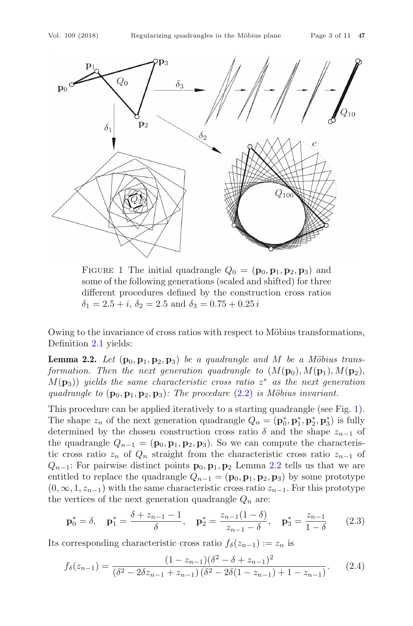

<span id="page-2-0"></span>FIGURE 1 The initial quadrangle  $Q_0 = (\mathbf{p}_0, \mathbf{p}_1, \mathbf{p}_2, \mathbf{p}_3)$  and some of the following generations (scaled and shifted) for three different procedures defined by the construction cross ratios  $\delta_1 = 2.5 + i$ ,  $\delta_2 = 2.5$  and  $\delta_3 = 0.75 + 0.25i$ 

Owing to the invariance of cross ratios with respect to Möbius transformations, Definition [2.1](#page-1-3) yields:

<span id="page-2-1"></span>**Lemma 2.2.** Let  $(\mathbf{p}_0, \mathbf{p}_1, \mathbf{p}_2, \mathbf{p}_3)$  be a quadrangle and M be a Möbius trans*formation. Then the next generation quadrangle to*  $(M(\mathbf{p}_0), M(\mathbf{p}_1), M(\mathbf{p}_2))$ ,  $M(\mathbf{p}_3)$ ) yields the same characteristic cross ratio  $z^*$  as the next generation *quadrangle to*  $(\mathbf{p}_0, \mathbf{p}_1, \mathbf{p}_2, \mathbf{p}_3)$ *: The procedure*  $(2.2)$  *is Möbius invariant.* 

This procedure can be applied iteratively to a starting quadrangle (see Fig. [1\)](#page-2-0). The shape  $z_n$  of the next generation quadrangle  $Q_n = (\mathbf{p}_0^*, \mathbf{p}_1^*, \mathbf{p}_2^*, \mathbf{p}_3^*)$  is fully determined by the chosen construction cross ratio  $\delta$  and the shape  $z_{n-1}$  of the quadrangle  $Q_{n-1} = (\mathbf{p}_0, \mathbf{p}_1, \mathbf{p}_2, \mathbf{p}_3)$ . So we can compute the characteristic cross ratio  $z_n$  of  $Q_n$  straight from the characteristic cross ratio  $z_{n-1}$  of  $Q_{n-1}$ : For pairwise distinct points  $\mathbf{p}_0, \mathbf{p}_1, \mathbf{p}_2$  Lemma [2.2](#page-2-1) tells us that we are entitled to replace the quadrangle  $Q_{n-1} = (\mathbf{p}_0, \mathbf{p}_1, \mathbf{p}_2, \mathbf{p}_3)$  by some prototype  $(0, \infty, 1, z_{n-1})$  with the same characteristic cross ratio  $z_{n-1}$ . For this prototype the vertices of the next generation quadrangle  $Q_n$  are:

$$
\mathbf{p}_0^* = \delta, \quad \mathbf{p}_1^* = \frac{\delta + z_{n-1} - 1}{\delta}, \quad \mathbf{p}_2^* = \frac{z_{n-1}(1-\delta)}{z_{n-1} - \delta}, \quad \mathbf{p}_3^* = \frac{z_{n-1}}{1-\delta} \tag{2.3}
$$

Its corresponding characteristic cross ratio  $f_{\delta}(z_{n-1}) := z_n$  is

<span id="page-2-2"></span>
$$
f_{\delta}(z_{n-1}) = \frac{(1 - z_{n-1})(\delta^2 - \delta + z_{n-1})^2}{(\delta^2 - 2\delta z_{n-1} + z_{n-1})(\delta^2 - 2\delta(1 - z_{n-1}) + 1 - z_{n-1})}.
$$
 (2.4)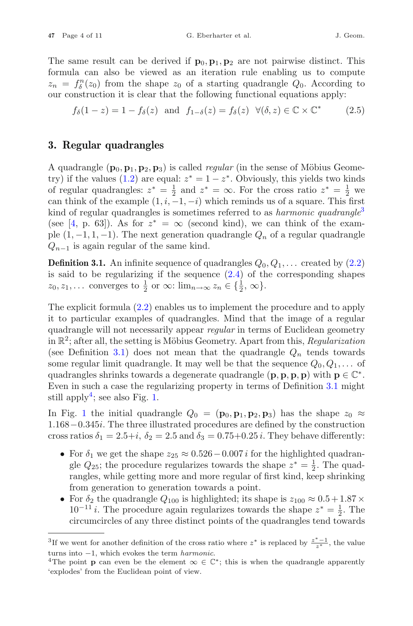The same result can be derived if  $\mathbf{p}_0$ ,  $\mathbf{p}_1$ ,  $\mathbf{p}_2$  are not pairwise distinct. This formula can also be viewed as an iteration rule enabling us to compute  $z_n = f_\delta^n(z_0)$  from the shape  $z_0$  of a starting quadrangle  $Q_0$ . According to our construction it is clear that the following functional equations apply:

<span id="page-3-3"></span>
$$
f_{\delta}(1-z) = 1 - f_{\delta}(z) \text{ and } f_{1-\delta}(z) = f_{\delta}(z) \ \forall (\delta, z) \in \mathbb{C} \times \mathbb{C}^* \tag{2.5}
$$

## **3. Regular quadrangles**

A quadrangle  $(\mathbf{p}_0, \mathbf{p}_1, \mathbf{p}_2, \mathbf{p}_3)$  is called *regular* (in the sense of Möbius Geome-try) if the values [\(1.2\)](#page-1-2) are equal:  $z^* = 1 - z^*$ . Obviously, this yields two kinds of regular quadrangles:  $z^* = \frac{1}{2}$  and  $z^* = \infty$ . For the cross ratio  $z^* = \frac{1}{2}$  we can think of the example  $(1, i, -1, -i)$  which reminds us of a square. This first kind of regular quadrangles is sometimes referred to as *harmonic quadrangle*[3](#page-3-0) (see [\[4](#page-10-7), p. 63]). As for  $z^* = \infty$  (second kind), we can think of the example  $(1, -1, 1, -1)$ . The next generation quadrangle  $Q_n$  of a regular quadrangle  $Q_{n-1}$  is again regular of the same kind.

<span id="page-3-1"></span>**Definition 3.1.** An infinite sequence of quadrangles  $Q_0, Q_1, \ldots$  created by  $(2.2)$ is said to be regularizing if the sequence  $(2.4)$  of the corresponding shapes  $z_0, z_1, \ldots$  converges to  $\frac{1}{2}$  or  $\infty$ :  $\lim_{n \to \infty} z_n \in {\frac{1}{2}, \infty}$ .

The explicit formula [\(2.2\)](#page-1-4) enables us to implement the procedure and to apply it to particular examples of quadrangles. Mind that the image of a regular quadrangle will not necessarily appear *regular* in terms of Euclidean geometry in  $\mathbb{R}^2$ ; after all, the setting is Möbius Geometry. Apart from this, *Regularization* (see Definition [3.1\)](#page-3-1) does not mean that the quadrangle  $Q_n$  tends towards some regular limit quadrangle. It may well be that the sequence  $Q_0, Q_1, \ldots$  of quadrangles shrinks towards a degenerate quadrangle  $(\mathbf{p}, \mathbf{p}, \mathbf{p}, \mathbf{p})$  with  $\mathbf{p} \in \mathbb{C}^*$ . Even in such a case the regularizing property in terms of Definition [3.1](#page-3-1) might still apply<sup>[4](#page-3-2)</sup>; see also Fig. [1.](#page-2-0)

In Fig. [1](#page-2-0) the initial quadrangle  $Q_0 = (\mathbf{p}_0, \mathbf{p}_1, \mathbf{p}_2, \mathbf{p}_3)$  has the shape  $z_0 \approx$ <sup>1</sup>.168−0.345i. The three illustrated procedures are defined by the construction cross ratios  $\delta_1 = 2.5+i$ ,  $\delta_2 = 2.5$  and  $\delta_3 = 0.75+0.25i$ . They behave differently:

- For  $\delta_1$  we get the shape  $z_{25} \approx 0.526 0.007 i$  for the highlighted quadrangle  $Q_{25}$ ; the procedure regularizes towards the shape  $z^* = \frac{1}{2}$ . The quadrangles, while getting more and more regular of first kind, keep shrinking from generation to generation towards a point.
- For  $\delta_2$  the quadrangle  $Q_{100}$  is highlighted; its shape is  $z_{100} \approx 0.5 + 1.87 \times$  $10^{-11} i$ . The procedure again regularizes towards the shape  $z^* = \frac{1}{2}$ . The circumcircles of any three distinct points of the quadrangles tend towards

<sup>&</sup>lt;sup>3</sup>If we went for another definition of the cross ratio where  $z^*$  is replaced by  $\frac{z^*-1}{z^*}$ , the value

<span id="page-3-2"></span><span id="page-3-0"></span>turns into  $-1$ , which evokes the term *harmonic*.<br><sup>4</sup>The point **p** can even be the element  $\infty \in \mathbb{C}^*$ ; this is when the quadrangle apparently 'explodes' from the Euclidean point of view.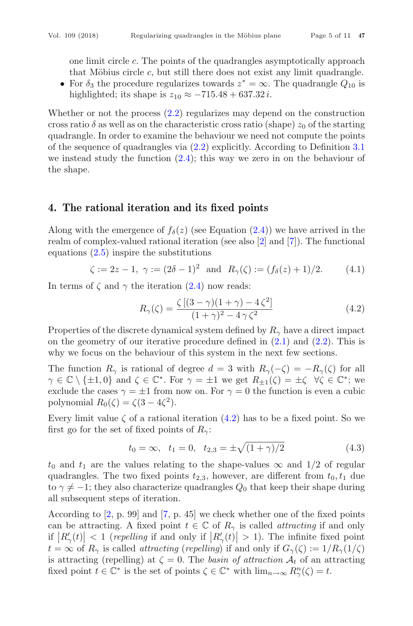one limit circle c. The points of the quadrangles asymptotically approach that Möbius circle  $c$ , but still there does not exist any limit quadrangle.

• For  $\delta_3$  the procedure regularizes towards  $z^* = \infty$ . The quadrangle  $Q_{10}$  is highlighted; its shape is  $z_{10} \approx -715.48 + 637.32 i$ .

Whether or not the process  $(2.2)$  regularizes may depend on the construction cross ratio  $\delta$  as well as on the characteristic cross ratio (shape)  $z_0$  of the starting quadrangle. In order to examine the behaviour we need not compute the points of the sequence of quadrangles via [\(2.2\)](#page-1-4) explicitly. According to Definition [3.1](#page-3-1) we instead study the function  $(2.4)$ ; this way we zero in on the behaviour of the shape.

### **4. The rational iteration and its fixed points**

Along with the emergence of  $f_{\delta}(z)$  (see Equation [\(2.4\)](#page-2-2)) we have arrived in the realm of complex-valued rational iteration (see also [\[2](#page-10-9)] and [\[7](#page-10-10)]). The functional equations  $(2.5)$  inspire the substitutions

$$
\zeta := 2z - 1, \ \gamma := (2\delta - 1)^2 \text{ and } R_{\gamma}(\zeta) := (f_{\delta}(z) + 1)/2.
$$
 (4.1)

In terms of  $\zeta$  and  $\gamma$  the iteration [\(2.4\)](#page-2-2) now reads:

<span id="page-4-0"></span>
$$
R_{\gamma}(\zeta) = \frac{\zeta \left[ (3 - \gamma)(1 + \gamma) - 4\zeta^2 \right]}{(1 + \gamma)^2 - 4\gamma \zeta^2}
$$
(4.2)

Properties of the discrete dynamical system defined by  $R_{\gamma}$  have a direct impact on the geometry of our iterative procedure defined in  $(2.1)$  and  $(2.2)$ . This is why we focus on the behaviour of this system in the next few sections.

The function  $R_{\gamma}$  is rational of degree  $d = 3$  with  $R_{\gamma}(-\zeta) = -R_{\gamma}(\zeta)$  for all  $\gamma \in \mathbb{C} \setminus \{\pm 1, 0\}$  and  $\zeta \in \mathbb{C}^*$ . For  $\gamma = \pm 1$  we get  $R_{\pm 1}(\zeta) = \pm \zeta \quad \forall \zeta \in \mathbb{C}^*$ ; we exclude the cases  $\gamma = \pm 1$  from now on. For  $\gamma = 0$  the function is even a cubic polynomial  $R_0(\zeta) = \zeta(3 - 4\zeta^2)$ .

Every limit value  $\zeta$  of a rational iteration [\(4.2\)](#page-4-0) has to be a fixed point. So we first go for the set of fixed points of  $R_{\gamma}$ :

$$
t_0 = \infty
$$
,  $t_1 = 0$ ,  $t_{2,3} = \pm \sqrt{(1 + \gamma)/2}$  (4.3)

 $t_0$  and  $t_1$  are the values relating to the shape-values  $\infty$  and  $1/2$  of regular quadrangles. The two fixed points  $t_{2,3}$ , however, are different from  $t_0, t_1$  due to  $\gamma \neq -1$ ; they also characterize quadrangles  $Q_0$  that keep their shape during all subsequent steps of iteration.

According to  $[2, p. 99]$  $[2, p. 99]$  and  $[7, p. 45]$  $[7, p. 45]$  we check whether one of the fixed points can be attracting. A fixed point  $t \in \mathbb{C}$  of  $R_{\gamma}$  is called *attracting* if and only if  $|R'_{\gamma}(t)| < 1$  (*repelling* if and only if  $|R'_{\gamma}(t)| > 1$ ). The infinite fixed point  $t = \infty$  of  $R_{\gamma}$  is called *attracting* (*repelling*) if and only if  $G_{\gamma}(\zeta) := 1/R_{\gamma}(1/\zeta)$ is attracting (repelling) at  $\zeta = 0$ . The *basin of attraction*  $A_t$  of an attracting fixed point  $t \in \mathbb{C}^*$  is the set of points  $\zeta \in \mathbb{C}^*$  with  $\lim_{n \to \infty} R_{\gamma}^n(\zeta) = t$ .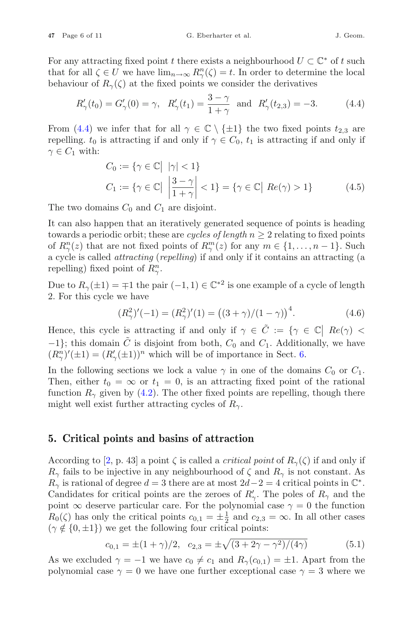For any attracting fixed point t there exists a neighbourhood  $U \subset \mathbb{C}^*$  of t such that for all  $\zeta \in U$  we have  $\lim_{n \to \infty} R_{\gamma}^n(\zeta) = t$ . In order to determine the local behaviour of  $R_{\gamma}(\zeta)$  at the fixed points we consider the derivatives

<span id="page-5-0"></span>
$$
R'_{\gamma}(t_0) = G'_{\gamma}(0) = \gamma
$$
,  $R'_{\gamma}(t_1) = \frac{3-\gamma}{1+\gamma}$  and  $R'_{\gamma}(t_{2,3}) = -3$ . (4.4)

From [\(4.4\)](#page-5-0) we infer that for all  $\gamma \in \mathbb{C} \setminus \{\pm 1\}$  the two fixed points  $t_{2,3}$  are repelling.  $t_0$  is attracting if and only if  $\gamma \in C_0$ ,  $t_1$  is attracting if and only if  $\gamma \in C_1$  with:

<span id="page-5-3"></span>
$$
C_0 := \{ \gamma \in \mathbb{C} \mid |\gamma| < 1 \}
$$
\n
$$
C_1 := \{ \gamma \in \mathbb{C} \mid \left| \frac{3 - \gamma}{1 + \gamma} \right| < 1 \} = \{ \gamma \in \mathbb{C} \mid Re(\gamma) > 1 \} \tag{4.5}
$$

The two domains  $C_0$  and  $C_1$  are disjoint.

It can also happen that an iteratively generated sequence of points is heading towards a periodic orbit; these are *cycles of length*  $n \geq 2$  relating to fixed points of  $R_{\gamma}^{n}(z)$  that are not fixed points of  $R_{\gamma}^{m}(z)$  for any  $m \in \{1, ..., n-1\}$ . Such a cycle is called *attracting* (*repelling*) if and only if it contains an attracting (a repelling) fixed point of  $R_\gamma^n$ .

Due to  $R_{\gamma}(\pm 1) = \mp 1$  the pair  $(-1, 1) \in \mathbb{C}^{*2}$  is one example of a cycle of length 2. For this cycle we have

<span id="page-5-2"></span>
$$
(R_{\gamma}^{2})'(-1) = (R_{\gamma}^{2})'(1) = ((3+\gamma)/(1-\gamma))^{4}.
$$
 (4.6)

Hence, this cycle is attracting if and only if  $\gamma \in \tilde{C} := \{ \gamma \in \mathbb{C} \mid Re(\gamma) < \infty \}$  $-1$ }; this domain  $\tilde{C}$  is disjoint from both,  $C_0$  and  $C_1$ . Additionally, we have  $(R_{\gamma}^{n})'(\pm 1) = (R'_{\gamma}(\pm 1))^{n}$  which will be of importance in Sect. [6.](#page-6-0)

In the following sections we lock a value  $\gamma$  in one of the domains  $C_0$  or  $C_1$ . Then, either  $t_0 = \infty$  or  $t_1 = 0$ , is an attracting fixed point of the rational function  $R_{\gamma}$  given by [\(4.2\)](#page-4-0). The other fixed points are repelling, though there might well exist further attracting cycles of  $R_{\gamma}$ .

#### **5. Critical points and basins of attraction**

According to [\[2,](#page-10-9) p. 43] a point  $\zeta$  is called a *critical point* of  $R_{\gamma}(\zeta)$  if and only if  $R_{\gamma}$  fails to be injective in any neighbourhood of  $\zeta$  and  $R_{\gamma}$  is not constant. As  $R_{\gamma}$  is rational of degree  $d = 3$  there are at most  $2d-2 = 4$  critical points in  $\mathbb{C}^*$ . Candidates for critical points are the zeroes of  $R'_\gamma$ . The poles of  $R_\gamma$  and the point  $\infty$  deserve particular care. For the polynomial case  $\gamma = 0$  the function  $R_0(\zeta)$  has only the critical points  $c_{0,1} = \pm \frac{1}{2}$  and  $c_{2,3} = \infty$ . In all other cases  $(\gamma \notin \{0, \pm 1\})$  we get the following four critical points:

<span id="page-5-1"></span>
$$
c_{0,1} = \pm (1+\gamma)/2, \quad c_{2,3} = \pm \sqrt{(3+2\gamma-\gamma^2)/(4\gamma)} \tag{5.1}
$$

As we excluded  $\gamma = -1$  we have  $c_0 \neq c_1$  and  $R_\gamma(c_{0,1}) = \pm 1$ . Apart from the polynomial case  $\gamma = 0$  we have one further exceptional case  $\gamma = 3$  where we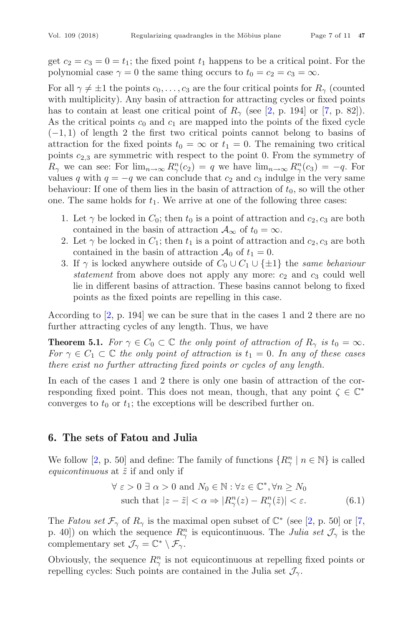get  $c_2 = c_3 = 0 = t_1$ ; the fixed point  $t_1$  happens to be a critical point. For the polynomial case  $\gamma = 0$  the same thing occurs to  $t_0 = c_2 = c_3 = \infty$ .

For all  $\gamma \neq \pm 1$  the points  $c_0, \ldots, c_3$  are the four critical points for  $R_\gamma$  (counted with multiplicity). Any basin of attraction for attracting cycles or fixed points has to contain at least one critical point of  $R_{\gamma}$  (see [\[2,](#page-10-9) p. 194] or [\[7](#page-10-10), p. 82]). As the critical points  $c_0$  and  $c_1$  are mapped into the points of the fixed cycle  $(-1, 1)$  of length 2 the first two critical points cannot belong to basins of attraction for the fixed points  $t_0 = \infty$  or  $t_1 = 0$ . The remaining two critical points  $c_{2,3}$  are symmetric with respect to the point 0. From the symmetry of  $R_{\gamma}$  we can see: For  $\lim_{n\to\infty} R_{\gamma}^n(c_2) = q$  we have  $\lim_{n\to\infty} R_{\gamma}^n(c_3) = -q$ . For values q with  $q = -q$  we can conclude that  $c_2$  and  $c_3$  indulge in the very same behaviour: If one of them lies in the basin of attraction of  $t_0$ , so will the other one. The same holds for  $t_1$ . We arrive at one of the following three cases:

- 1. Let  $\gamma$  be locked in  $C_0$ ; then  $t_0$  is a point of attraction and  $c_2, c_3$  are both contained in the basin of attraction  $\mathcal{A}_{\infty}$  of  $t_0 = \infty$ .
- 2. Let  $\gamma$  be locked in  $C_1$ ; then  $t_1$  is a point of attraction and  $c_2, c_3$  are both contained in the basin of attraction  $\mathcal{A}_0$  of  $t_1 = 0$ .
- 3. If  $\gamma$  is locked anywhere outside of  $C_0 \cup C_1 \cup \{\pm 1\}$  the *same behaviour statement* from above does not apply any more:  $c_2$  and  $c_3$  could well lie in different basins of attraction. These basins cannot belong to fixed points as the fixed points are repelling in this case.

According to [\[2](#page-10-9), p. 194] we can be sure that in the cases 1 and 2 there are no further attracting cycles of any length. Thus, we have

**Theorem 5.1.** *For*  $\gamma \in C_0 \subset \mathbb{C}$  *the only point of attraction of*  $R_\gamma$  *is*  $t_0 = \infty$ *. For*  $\gamma \in C_1 \subset \mathbb{C}$  *the only point of attraction is*  $t_1 = 0$ *. In any of these cases there exist no further attracting fixed points or cycles of any length.*

In each of the cases 1 and 2 there is only one basin of attraction of the corresponding fixed point. This does not mean, though, that any point  $\zeta \in \mathbb{C}^*$ converges to  $t_0$  or  $t_1$ ; the exceptions will be described further on.

## <span id="page-6-0"></span>**6. The sets of Fatou and Julia**

We follow [\[2,](#page-10-9) p. 50] and define: The family of functions  $\{R_{\gamma}^{n} | n \in \mathbb{N}\}$  is called *equicontinuous* at  $\tilde{z}$  if and only if

$$
\forall \varepsilon > 0 \; \exists \; \alpha > 0 \text{ and } N_0 \in \mathbb{N} : \forall z \in \mathbb{C}^*, \forall n \ge N_0
$$
  
such that  $|z - \tilde{z}| < \alpha \Rightarrow |R_{\gamma}^n(z) - R_{\gamma}^n(\tilde{z})| < \varepsilon.$  (6.1)

The *Fatou set*  $\mathcal{F}_{\gamma}$  of  $R_{\gamma}$  is the maximal open subset of  $\mathbb{C}^*$  (see [\[2,](#page-10-9) p. 50] or [\[7,](#page-10-10) p. 40]) on which the sequence  $R_{\gamma}^{n}$  is equicontinuous. The *Julia set*  $\mathcal{J}_{\gamma}$  is the complementary set  $\mathcal{J}_{\gamma} = \mathbb{C}^* \setminus \mathcal{F}_{\gamma}$ .

Obviously, the sequence  $R^n_\gamma$  is not equicontinuous at repelling fixed points or repelling cycles: Such points are contained in the Julia set  $\mathcal{J}_{\gamma}$ .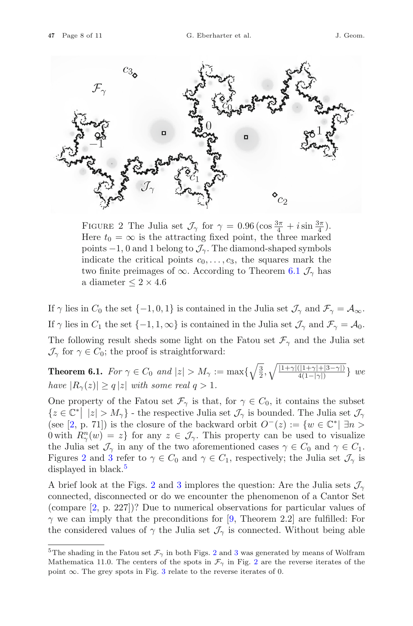

<span id="page-7-1"></span>FIGURE 2 The Julia set  $\mathcal{J}_{\gamma}$  for  $\gamma = 0.96 \left( \cos \frac{3\pi}{4} + i \sin \frac{3\pi}{4} \right)$ .<br>Here  $t_0 = \infty$  is the attracting fixed point, the three marked Here  $t_0 = \infty$  is the attracting fixed point, the three marked points  $-1$ , 0 and 1 belong to  $\mathcal{J}_{\gamma}$ . The diamond-shaped symbols indicate the critical points  $c_0, \ldots, c_3$ , the squares mark the two finite preimages of  $\infty$ . According to Theorem [6.1](#page-7-0)  $\mathcal{J}_{\gamma}$  has a diameter  $\leq 2 \times 4.6$ 

If  $\gamma$  lies in  $C_0$  the set  $\{-1,0,1\}$  is contained in the Julia set  $\mathcal{J}_{\gamma}$  and  $\mathcal{F}_{\gamma} = \mathcal{A}_{\infty}$ . If  $\gamma$  lies in  $C_1$  the set  $\{-1, 1, \infty\}$  is contained in the Julia set  $\mathcal{J}_{\gamma}$  and  $\mathcal{F}_{\gamma} = \mathcal{A}_0$ . The following result sheds some light on the Fatou set  $\mathcal{F}_{\gamma}$  and the Julia set  $\mathcal{J}_{\gamma}$  for  $\gamma \in C_0$ ; the proof is straightforward:

<span id="page-7-0"></span>**Theorem 6.1.** *For*  $\gamma \in C_0$  *and*  $|z| > M_\gamma := \max\{\sqrt{\frac{3}{2}}, \sqrt{\frac{|1+\gamma|(|1+\gamma|+|3-\gamma|)}{4(1-|\gamma|)}}\}$  *we have*  $|R_{\gamma}(z)| \geq q |z|$  *with some real*  $q > 1$ *.* 

One property of the Fatou set  $\mathcal{F}_{\gamma}$  is that, for  $\gamma \in C_0$ , it contains the subset  $\{z \in \mathbb{C}^* \mid |z| > M_\gamma\}$  - the respective Julia set  $\mathcal{J}_\gamma$  is bounded. The Julia set  $\mathcal{J}_\gamma$ (see [\[2](#page-10-9), p. 71]) is the closure of the backward orbit  $O^-(z) := \{w \in \mathbb{C}^* | \exists n >$ 0 with  $R_{\gamma}^n(w) = z$  for any  $z \in \mathcal{J}_{\gamma}$ . This property can be used to visualize the Julia set  $\mathcal{J}_{\gamma}$  in any of the two aforementioned cases  $\gamma \in C_0$  and  $\gamma \in C_1$ . Figures [2](#page-7-1) and [3](#page-8-0) refer to  $\gamma \in C_0$  and  $\gamma \in C_1$ , respectively; the Julia set  $\mathcal{J}_{\gamma}$  is displayed in black.<sup>[5](#page-7-2)</sup>

A brief look at the Figs. [2](#page-7-1) and [3](#page-8-0) implores the question: Are the Julia sets  $\mathcal{J}_{\gamma}$ connected, disconnected or do we encounter the phenomenon of a Cantor Set (compare [\[2](#page-10-9), p. 227])? Due to numerical observations for particular values of  $\gamma$  we can imply that the preconditions for [\[9,](#page-10-11) Theorem 2.2] are fulfilled: For the considered values of  $\gamma$  the Julia set  $\mathcal{J}_{\gamma}$  is connected. Without being able

<span id="page-7-2"></span><sup>&</sup>lt;sup>5</sup>The shading in the Fatou set  $\mathcal{F}_{\gamma}$  in both Figs. [2](#page-7-1) and [3](#page-8-0) was generated by means of Wolfram Mathematica 11.0. The centers of the spots in  $\mathcal{F}_{\gamma}$  in Fig. [2](#page-7-1) are the reverse iterates of the point  $\infty$ . The grey spots in Fig. [3](#page-8-0) relate to the reverse iterates of 0.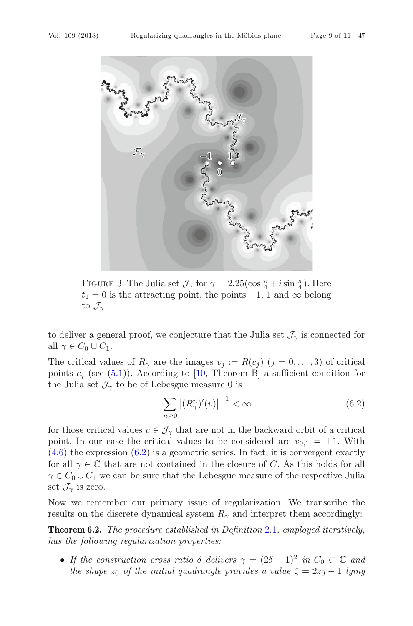

<span id="page-8-0"></span>FIGURE 3 The Julia set  $\mathcal{J}_{\gamma}$  for  $\gamma = 2.25(\cos \frac{\pi}{4} + i \sin \frac{\pi}{4})$ . Here  $t_1 = 0$  is the attracting point, the points  $-1$ , 1 and  $\infty$  belong  $t_1 = 0$  is the attracting point, the points  $-1$ , 1 and  $\infty$  belong to  $\mathcal{J}_{\gamma}$ 

to deliver a general proof, we conjecture that the Julia set  $\mathcal{J}_{\gamma}$  is connected for all  $\gamma \in C_0 \cup C_1$ .

The critical values of  $R_{\gamma}$  are the images  $v_j := R(c_j)$   $(j = 0, \ldots, 3)$  of critical points  $c_j$  (see [\(5.1\)](#page-5-1)). According to [\[10](#page-10-12), Theorem B] a sufficient condition for the Julia set  $\mathcal{J}_{\gamma}$  to be of Lebesgue measure 0 is

<span id="page-8-1"></span>
$$
\sum_{n\geq 0} \left| (R_{\gamma}^n)'(v) \right|^{-1} < \infty \tag{6.2}
$$

for those critical values  $v \in \mathcal{J}_{\gamma}$  that are not in the backward orbit of a critical point. In our case the critical values to be considered are  $v_{0,1} = \pm 1$ . With  $(4.6)$  the expression  $(6.2)$  is a geometric series. In fact, it is convergent exactly for all  $\gamma \in \mathbb{C}$  that are not contained in the closure of C. As this holds for all  $\gamma \in C_0 \cup C_1$  we can be sure that the Lebesgue measure of the respective Julia set  $\mathcal{J}_{\gamma}$  is zero.

Now we remember our primary issue of regularization. We transcribe the results on the discrete dynamical system  $R_{\gamma}$  and interpret them accordingly:

**Theorem 6.2.** *The procedure established in Definition* [2.1](#page-1-3)*, employed iteratively, has the following regularization properties:*

• *If the construction cross ratio*  $\delta$  *delivers*  $\gamma = (2\delta - 1)^2$  *in*  $C_0 \subset \mathbb{C}$  *and the shape*  $z_0$  *of the initial quadrangle provides a value*  $\zeta = 2z_0 - 1$  *lying*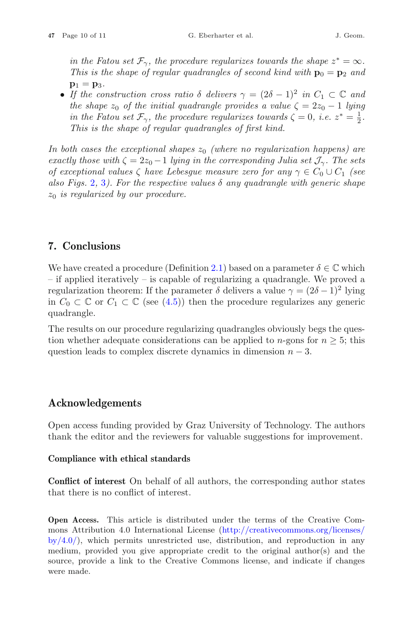*in the Fatou set*  $\mathcal{F}_{\gamma}$ *, the procedure regularizes towards the shape*  $z^* = \infty$ *. This is the shape of regular quadrangles of second kind with*  $\mathbf{p}_0 = \mathbf{p}_2$  *and*  $p_1 = p_3$ .

• *If the construction cross ratio*  $\delta$  *delivers*  $\gamma = (2\delta - 1)^2$  *in*  $C_1 \subset \mathbb{C}$  *and the shape*  $z_0$  *of the initial quadrangle provides a value*  $\zeta = 2z_0 - 1$  *lying in the Fatou set*  $\mathcal{F}_{\gamma}$ *, the procedure regularizes towards*  $\zeta = 0$ *, i.e.*  $z^* = \frac{1}{2}$ *. This is the shape of regular quadrangles of first kind.*

*In both cases the exceptional shapes*  $z_0$  *(where no regularization happens) are exactly those with*  $\zeta = 2z_0 - 1$  *lying in the corresponding Julia set*  $\mathcal{J}_{\gamma}$ *. The sets of exceptional values*  $\zeta$  *have Lebesgue measure zero for any*  $\gamma \in C_0 \cup C_1$  *(see also Figs.* [2](#page-7-1), [3](#page-8-0)*). For the respective values*  $\delta$  *any quadrangle with generic shape* z<sup>0</sup> *is regularized by our procedure.*

## **7. Conclusions**

We have created a procedure (Definition [2.1\)](#page-1-3) based on a parameter  $\delta \in \mathbb{C}$  which – if applied iteratively – is capable of regularizing a quadrangle. We proved a regularization theorem: If the parameter  $\delta$  delivers a value  $\gamma = (2\delta - 1)^2$  lying in  $C_0 \subset \mathbb{C}$  or  $C_1 \subset \mathbb{C}$  (see [\(4.5\)](#page-5-3)) then the procedure regularizes any generic quadrangle.

The results on our procedure regularizing quadrangles obviously begs the question whether adequate considerations can be applied to *n*-gons for  $n \geq 5$ ; this question leads to complex discrete dynamics in dimension  $n - 3$ .

## **Acknowledgements**

Open access funding provided by Graz University of Technology. The authors thank the editor and the reviewers for valuable suggestions for improvement.

#### **Compliance with ethical standards**

**Conflict of interest** On behalf of all authors, the corresponding author states that there is no conflict of interest.

**Open Access.** This article is distributed under the terms of the Creative Commons Attribution 4.0 International License [\(http://creativecommons.org/licenses/](http://creativecommons.org/licenses/by/4.0/)  $by/4.0$ , which permits unrestricted use, distribution, and reproduction in any medium, provided you give appropriate credit to the original author(s) and the source, provide a link to the Creative Commons license, and indicate if changes were made.